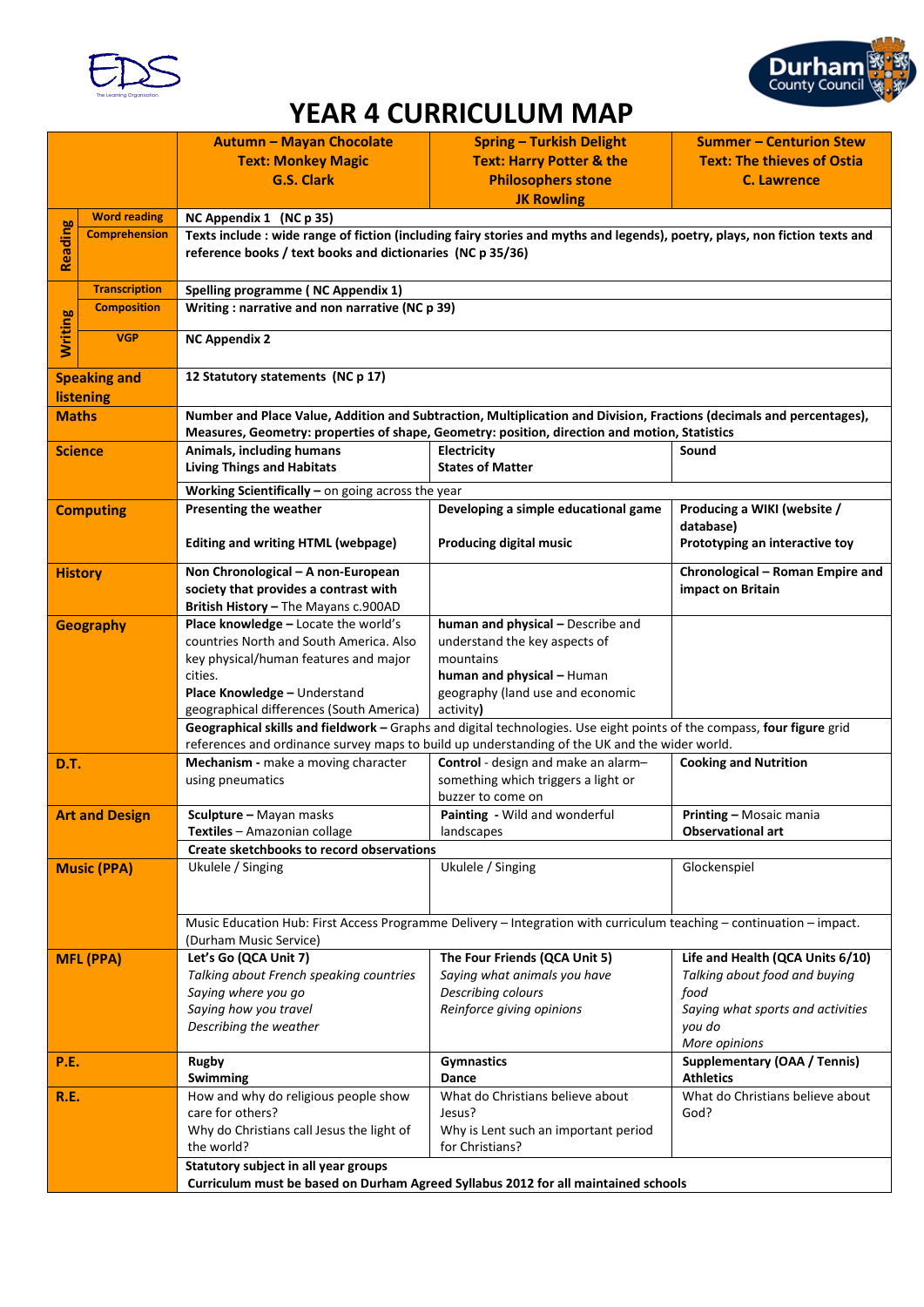



## **YEAR 4 CURRICULUM MAP**

|                                                                                    |                       | <b>Autumn - Mayan Chocolate</b>                                                                                                                                                                                         | <b>Spring - Turkish Delight</b>                    | <b>Summer - Centurion Stew</b>           |  |  |
|------------------------------------------------------------------------------------|-----------------------|-------------------------------------------------------------------------------------------------------------------------------------------------------------------------------------------------------------------------|----------------------------------------------------|------------------------------------------|--|--|
|                                                                                    |                       | <b>Text: Monkey Magic</b>                                                                                                                                                                                               | <b>Text: Harry Potter &amp; the</b>                | <b>Text: The thieves of Ostia</b>        |  |  |
|                                                                                    |                       | <b>G.S. Clark</b>                                                                                                                                                                                                       | <b>Philosophers stone</b>                          | <b>C. Lawrence</b>                       |  |  |
|                                                                                    |                       |                                                                                                                                                                                                                         | <b>JK Rowling</b>                                  |                                          |  |  |
|                                                                                    | <b>Word reading</b>   | NC Appendix 1 (NC p 35)                                                                                                                                                                                                 |                                                    |                                          |  |  |
| Reading                                                                            | <b>Comprehension</b>  | Texts include : wide range of fiction (including fairy stories and myths and legends), poetry, plays, non fiction texts and<br>reference books / text books and dictionaries (NC p 35/36)                               |                                                    |                                          |  |  |
|                                                                                    |                       |                                                                                                                                                                                                                         |                                                    |                                          |  |  |
|                                                                                    |                       |                                                                                                                                                                                                                         |                                                    |                                          |  |  |
|                                                                                    | <b>Transcription</b>  | Spelling programme (NC Appendix 1)                                                                                                                                                                                      |                                                    |                                          |  |  |
|                                                                                    | <b>Composition</b>    | Writing: narrative and non narrative (NC p 39)                                                                                                                                                                          |                                                    |                                          |  |  |
|                                                                                    | <b>VGP</b>            |                                                                                                                                                                                                                         |                                                    |                                          |  |  |
| <b>Writing</b>                                                                     |                       | <b>NC Appendix 2</b>                                                                                                                                                                                                    |                                                    |                                          |  |  |
|                                                                                    |                       | 12 Statutory statements (NC p 17)                                                                                                                                                                                       |                                                    |                                          |  |  |
| <b>Speaking and</b>                                                                |                       |                                                                                                                                                                                                                         |                                                    |                                          |  |  |
| listening                                                                          |                       |                                                                                                                                                                                                                         |                                                    |                                          |  |  |
| <b>Maths</b>                                                                       |                       | Number and Place Value, Addition and Subtraction, Multiplication and Division, Fractions (decimals and percentages),<br>Measures, Geometry: properties of shape, Geometry: position, direction and motion, Statistics   |                                                    |                                          |  |  |
|                                                                                    | <b>Science</b>        | Animals, including humans                                                                                                                                                                                               | Electricity                                        | Sound                                    |  |  |
|                                                                                    |                       | <b>Living Things and Habitats</b>                                                                                                                                                                                       | <b>States of Matter</b>                            |                                          |  |  |
|                                                                                    |                       |                                                                                                                                                                                                                         |                                                    |                                          |  |  |
|                                                                                    |                       | Working Scientifically $-$ on going across the year                                                                                                                                                                     |                                                    |                                          |  |  |
|                                                                                    | <b>Computing</b>      | Presenting the weather                                                                                                                                                                                                  | Developing a simple educational game               | Producing a WIKI (website /<br>database) |  |  |
|                                                                                    |                       | <b>Editing and writing HTML (webpage)</b>                                                                                                                                                                               | <b>Producing digital music</b>                     | Prototyping an interactive toy           |  |  |
|                                                                                    |                       |                                                                                                                                                                                                                         |                                                    |                                          |  |  |
|                                                                                    | <b>History</b>        | Non Chronological - A non-European                                                                                                                                                                                      |                                                    | Chronological - Roman Empire and         |  |  |
|                                                                                    |                       | society that provides a contrast with                                                                                                                                                                                   |                                                    | impact on Britain                        |  |  |
|                                                                                    |                       | British History - The Mayans c.900AD                                                                                                                                                                                    |                                                    |                                          |  |  |
|                                                                                    | <b>Geography</b>      | Place knowledge - Locate the world's                                                                                                                                                                                    | human and physical - Describe and                  |                                          |  |  |
|                                                                                    |                       | countries North and South America. Also                                                                                                                                                                                 | understand the key aspects of                      |                                          |  |  |
|                                                                                    |                       | key physical/human features and major                                                                                                                                                                                   | mountains                                          |                                          |  |  |
|                                                                                    |                       | cities.                                                                                                                                                                                                                 | human and physical - Human                         |                                          |  |  |
|                                                                                    |                       | Place Knowledge - Understand<br>geographical differences (South America)                                                                                                                                                | geography (land use and economic<br>activity)      |                                          |  |  |
|                                                                                    |                       |                                                                                                                                                                                                                         |                                                    |                                          |  |  |
|                                                                                    |                       | Geographical skills and fieldwork - Graphs and digital technologies. Use eight points of the compass, four figure grid<br>references and ordinance survey maps to build up understanding of the UK and the wider world. |                                                    |                                          |  |  |
| D.T.                                                                               |                       | Mechanism - make a moving character                                                                                                                                                                                     | Control - design and make an alarm-                | <b>Cooking and Nutrition</b>             |  |  |
|                                                                                    |                       | using pneumatics                                                                                                                                                                                                        | something which triggers a light or                |                                          |  |  |
|                                                                                    |                       |                                                                                                                                                                                                                         | buzzer to come on                                  |                                          |  |  |
|                                                                                    | <b>Art and Design</b> | Sculpture - Mayan masks                                                                                                                                                                                                 | Painting - Wild and wonderful                      | <b>Printing - Mosaic mania</b>           |  |  |
|                                                                                    |                       | Textiles - Amazonian collage                                                                                                                                                                                            | landscapes                                         | <b>Observational art</b>                 |  |  |
|                                                                                    |                       | Create sketchbooks to record observations                                                                                                                                                                               |                                                    |                                          |  |  |
|                                                                                    | <b>Music (PPA)</b>    | Ukulele / Singing                                                                                                                                                                                                       | Ukulele / Singing                                  | Glockenspiel                             |  |  |
|                                                                                    |                       |                                                                                                                                                                                                                         |                                                    |                                          |  |  |
|                                                                                    |                       |                                                                                                                                                                                                                         |                                                    |                                          |  |  |
|                                                                                    |                       | Music Education Hub: First Access Programme Delivery - Integration with curriculum teaching - continuation - impact.                                                                                                    |                                                    |                                          |  |  |
|                                                                                    |                       | (Durham Music Service)                                                                                                                                                                                                  |                                                    |                                          |  |  |
|                                                                                    | <b>MFL (PPA)</b>      | Let's Go (QCA Unit 7)                                                                                                                                                                                                   | The Four Friends (QCA Unit 5)                      | Life and Health (QCA Units 6/10)         |  |  |
|                                                                                    |                       | Talking about French speaking countries<br>Saying where you go                                                                                                                                                          | Saying what animals you have<br>Describing colours | Talking about food and buying<br>food    |  |  |
|                                                                                    |                       | Saying how you travel                                                                                                                                                                                                   | Reinforce giving opinions                          | Saying what sports and activities        |  |  |
|                                                                                    |                       | Describing the weather                                                                                                                                                                                                  |                                                    | you do                                   |  |  |
|                                                                                    |                       |                                                                                                                                                                                                                         |                                                    | More opinions                            |  |  |
| <b>P.E.</b>                                                                        |                       | <b>Rugby</b>                                                                                                                                                                                                            | <b>Gymnastics</b>                                  | <b>Supplementary (OAA / Tennis)</b>      |  |  |
|                                                                                    |                       | Swimming                                                                                                                                                                                                                | Dance                                              | <b>Athletics</b>                         |  |  |
| R.E.                                                                               |                       | How and why do religious people show                                                                                                                                                                                    | What do Christians believe about                   | What do Christians believe about         |  |  |
|                                                                                    |                       | care for others?                                                                                                                                                                                                        | Jesus?                                             | God?                                     |  |  |
|                                                                                    |                       | Why do Christians call Jesus the light of                                                                                                                                                                               | Why is Lent such an important period               |                                          |  |  |
|                                                                                    |                       | the world?                                                                                                                                                                                                              | for Christians?                                    |                                          |  |  |
|                                                                                    |                       | Statutory subject in all year groups                                                                                                                                                                                    |                                                    |                                          |  |  |
| Curriculum must be based on Durham Agreed Syllabus 2012 for all maintained schools |                       |                                                                                                                                                                                                                         |                                                    |                                          |  |  |